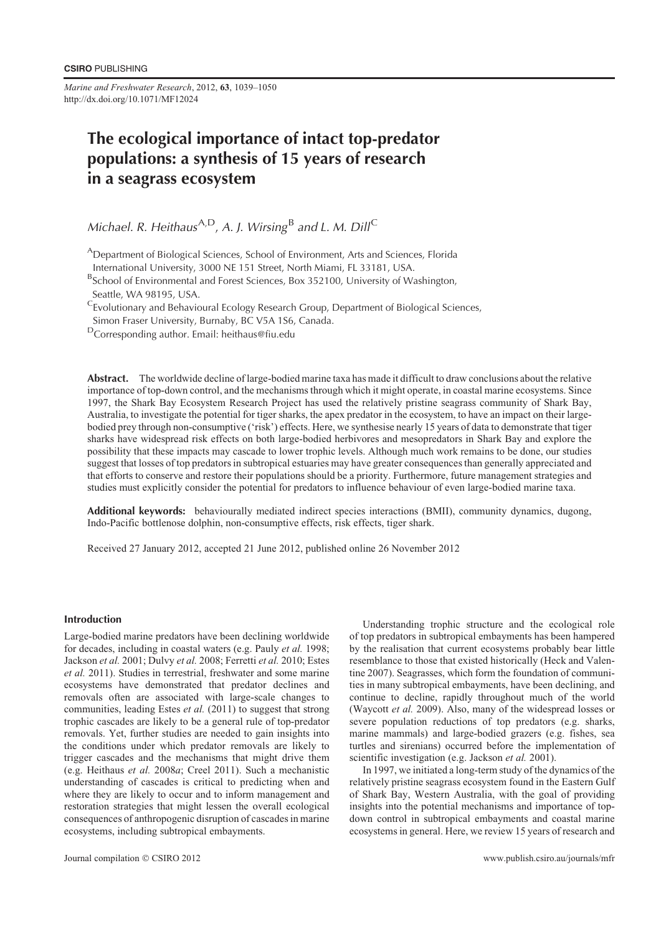*Marine and Freshwater Research*, 2012, **63**, 1039–1050 http://dx.doi.org/10.1071/MF12024

# The ecological importance of intact top-predator populations: a synthesis of 15 years of research in a seagrass ecosystem

Michael. R. Heithaus<sup>A,D</sup>, A. J. Wirsing<sup>B</sup> and L. M. Dill<sup>C</sup>

<sup>A</sup>Department of Biological Sciences, School of Environment, Arts and Sciences, Florida

International University, 3000 NE 151 Street, North Miami, FL 33181, USA.

<sup>B</sup>School of Environmental and Forest Sciences, Box 352100, University of Washington, Seattle, WA 98195, USA.

<sup>C</sup>Evolutionary and Behavioural Ecology Research Group, Department of Biological Sciences,

Simon Fraser University, Burnaby, BC V5A 1S6, Canada.

DCorresponding author. Email: heithaus@fiu.edu

Abstract. The worldwide decline of large-bodied marine taxa has made it difficult to draw conclusions about the relative importance of top-down control, and the mechanisms through which it might operate, in coastal marine ecosystems. Since 1997, the Shark Bay Ecosystem Research Project has used the relatively pristine seagrass community of Shark Bay, Australia, to investigate the potential for tiger sharks, the apex predator in the ecosystem, to have an impact on their largebodied prey through non-consumptive ('risk') effects. Here, we synthesise nearly 15 years of data to demonstrate that tiger sharks have widespread risk effects on both large-bodied herbivores and mesopredators in Shark Bay and explore the possibility that these impacts may cascade to lower trophic levels. Although much work remains to be done, our studies suggest that losses of top predators in subtropical estuaries may have greater consequences than generally appreciated and that efforts to conserve and restore their populations should be a priority. Furthermore, future management strategies and studies must explicitly consider the potential for predators to influence behaviour of even large-bodied marine taxa.

Additional keywords: behaviourally mediated indirect species interactions (BMII), community dynamics, dugong, Indo-Pacific bottlenose dolphin, non-consumptive effects, risk effects, tiger shark.

Received 27 January 2012, accepted 21 June 2012, published online 26 November 2012

#### Introduction

Large-bodied marine predators have been declining worldwide for decades, including in coastal waters (e.g. Pauly *et al.* 1998; Jackson *et al.* 2001; Dulvy *et al.* 2008; Ferretti *et al.* 2010; Estes *et al.* 2011). Studies in terrestrial, freshwater and some marine ecosystems have demonstrated that predator declines and removals often are associated with large-scale changes to communities, leading Estes *et al.* (2011) to suggest that strong trophic cascades are likely to be a general rule of top-predator removals. Yet, further studies are needed to gain insights into the conditions under which predator removals are likely to trigger cascades and the mechanisms that might drive them (e.g. Heithaus *et al.* 2008*a*; Creel 2011). Such a mechanistic understanding of cascades is critical to predicting when and where they are likely to occur and to inform management and restoration strategies that might lessen the overall ecological consequences of anthropogenic disruption of cascades in marine ecosystems, including subtropical embayments.

Understanding trophic structure and the ecological role of top predators in subtropical embayments has been hampered by the realisation that current ecosystems probably bear little resemblance to those that existed historically (Heck and Valentine 2007). Seagrasses, which form the foundation of communities in many subtropical embayments, have been declining, and continue to decline, rapidly throughout much of the world (Waycott *et al.* 2009). Also, many of the widespread losses or severe population reductions of top predators (e.g. sharks, marine mammals) and large-bodied grazers (e.g. fishes, sea turtles and sirenians) occurred before the implementation of scientific investigation (e.g. Jackson *et al.* 2001).

In 1997, we initiated a long-term study of the dynamics of the relatively pristine seagrass ecosystem found in the Eastern Gulf of Shark Bay, Western Australia, with the goal of providing insights into the potential mechanisms and importance of topdown control in subtropical embayments and coastal marine ecosystems in general. Here, we review 15 years of research and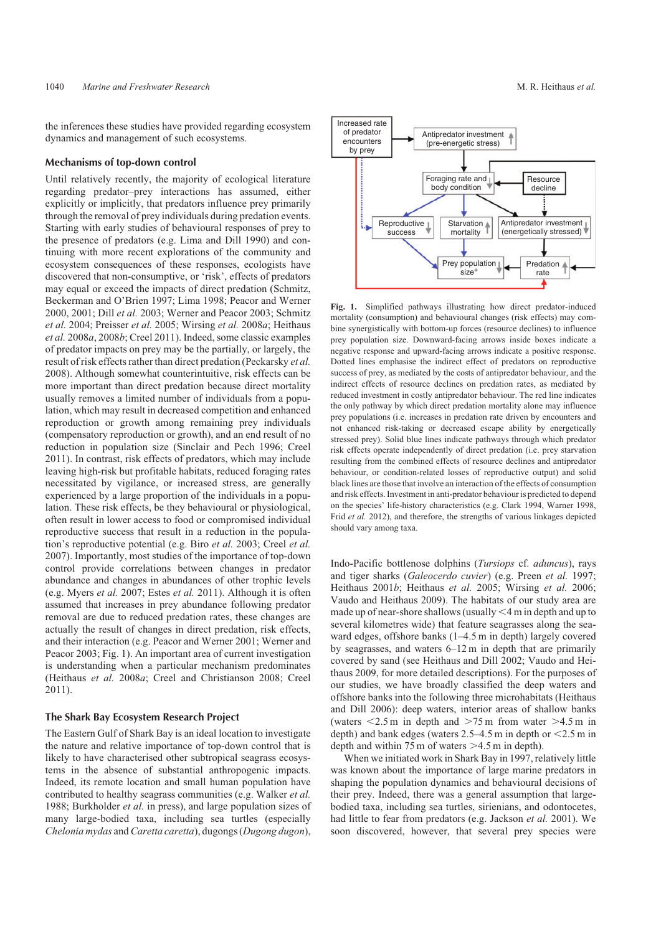the inferences these studies have provided regarding ecosystem dynamics and management of such ecosystems.

## Mechanisms of top-down control

Until relatively recently, the majority of ecological literature regarding predator–prey interactions has assumed, either explicitly or implicitly, that predators influence prey primarily through the removal of prey individuals during predation events. Starting with early studies of behavioural responses of prey to the presence of predators (e.g. Lima and Dill 1990) and continuing with more recent explorations of the community and ecosystem consequences of these responses, ecologists have discovered that non-consumptive, or 'risk', effects of predators may equal or exceed the impacts of direct predation (Schmitz, Beckerman and O'Brien 1997; Lima 1998; Peacor and Werner 2000, 2001; Dill *et al.* 2003; Werner and Peacor 2003; Schmitz *et al.* 2004; Preisser *et al.* 2005; Wirsing *et al.* 2008*a*; Heithaus *et al.* 2008*a*, 2008*b*; Creel 2011). Indeed, some classic examples of predator impacts on prey may be the partially, or largely, the result of risk effects rather than direct predation (Peckarsky *et al.* 2008). Although somewhat counterintuitive, risk effects can be more important than direct predation because direct mortality usually removes a limited number of individuals from a population, which may result in decreased competition and enhanced reproduction or growth among remaining prey individuals (compensatory reproduction or growth), and an end result of no reduction in population size (Sinclair and Pech 1996; Creel 2011). In contrast, risk effects of predators, which may include leaving high-risk but profitable habitats, reduced foraging rates necessitated by vigilance, or increased stress, are generally experienced by a large proportion of the individuals in a population. These risk effects, be they behavioural or physiological, often result in lower access to food or compromised individual reproductive success that result in a reduction in the population's reproductive potential (e.g. Biro *et al.* 2003; Creel *et al.* 2007). Importantly, most studies of the importance of top-down control provide correlations between changes in predator abundance and changes in abundances of other trophic levels (e.g. Myers *et al.* 2007; Estes *et al.* 2011). Although it is often assumed that increases in prey abundance following predator removal are due to reduced predation rates, these changes are actually the result of changes in direct predation, risk effects, and their interaction (e.g. Peacor and Werner 2001; Werner and Peacor 2003; Fig. 1). An important area of current investigation is understanding when a particular mechanism predominates (Heithaus *et al.* 2008*a*; Creel and Christianson 2008; Creel 2011).

## The Shark Bay Ecosystem Research Project

The Eastern Gulf of Shark Bay is an ideal location to investigate the nature and relative importance of top-down control that is likely to have characterised other subtropical seagrass ecosystems in the absence of substantial anthropogenic impacts. Indeed, its remote location and small human population have contributed to healthy seagrass communities (e.g. Walker *et al.* 1988; Burkholder *et al.* in press), and large population sizes of many large-bodied taxa, including sea turtles (especially *Chelonia mydas* and*Caretta caretta*), dugongs (*Dugong dugon*), Increased rate by prey Antipredator investment (pre-energetic stress) Antipredator investment (energetically stressed) Foraging rate and body condition Reproductive success Starvation mortality Resource decline

**Fig. 1.** Simplified pathways illustrating how direct predator-induced mortality (consumption) and behavioural changes (risk effects) may combine synergistically with bottom-up forces (resource declines) to influence prey population size. Downward-facing arrows inside boxes indicate a negative response and upward-facing arrows indicate a positive response. Dotted lines emphasise the indirect effect of predators on reproductive success of prey, as mediated by the costs of antipredator behaviour, and the indirect effects of resource declines on predation rates, as mediated by reduced investment in costly antipredator behaviour. The red line indicates the only pathway by which direct predation mortality alone may influence prey populations (i.e. increases in predation rate driven by encounters and not enhanced risk-taking or decreased escape ability by energetically stressed prey). Solid blue lines indicate pathways through which predator risk effects operate independently of direct predation (i.e. prey starvation resulting from the combined effects of resource declines and antipredator behaviour, or condition-related losses of reproductive output) and solid black lines are those that involve an interaction of the effects of consumption and risk effects. Investment in anti-predator behaviour is predicted to depend on the species' life-history characteristics (e.g. Clark 1994, Warner 1998, Frid *et al.* 2012), and therefore, the strengths of various linkages depicted should vary among taxa.

Indo-Pacific bottlenose dolphins (*Tursiops* cf. *aduncus*), rays and tiger sharks (*Galeocerdo cuvier*) (e.g. Preen *et al.* 1997; Heithaus 2001*b*; Heithaus *et al.* 2005; Wirsing *et al.* 2006; Vaudo and Heithaus 2009). The habitats of our study area are made up of near-shore shallows (usually  $\leq 4$  m in depth and up to several kilometres wide) that feature seagrasses along the seaward edges, offshore banks (1–4.5 m in depth) largely covered by seagrasses, and waters 6–12 m in depth that are primarily covered by sand (see Heithaus and Dill 2002; Vaudo and Heithaus 2009, for more detailed descriptions). For the purposes of our studies, we have broadly classified the deep waters and offshore banks into the following three microhabitats (Heithaus and Dill 2006): deep waters, interior areas of shallow banks (waters  $\leq$ 2.5 m in depth and  $\geq$ 75 m from water  $\geq$ 4.5 m in depth) and bank edges (waters  $2.5-4.5$  m in depth or  $\leq 2.5$  m in depth and within 75 m of waters  $>4.5$  m in depth).

When we initiated work in Shark Bay in 1997, relatively little was known about the importance of large marine predators in shaping the population dynamics and behavioural decisions of their prey. Indeed, there was a general assumption that largebodied taxa, including sea turtles, sirienians, and odontocetes, had little to fear from predators (e.g. Jackson *et al.* 2001). We soon discovered, however, that several prey species were

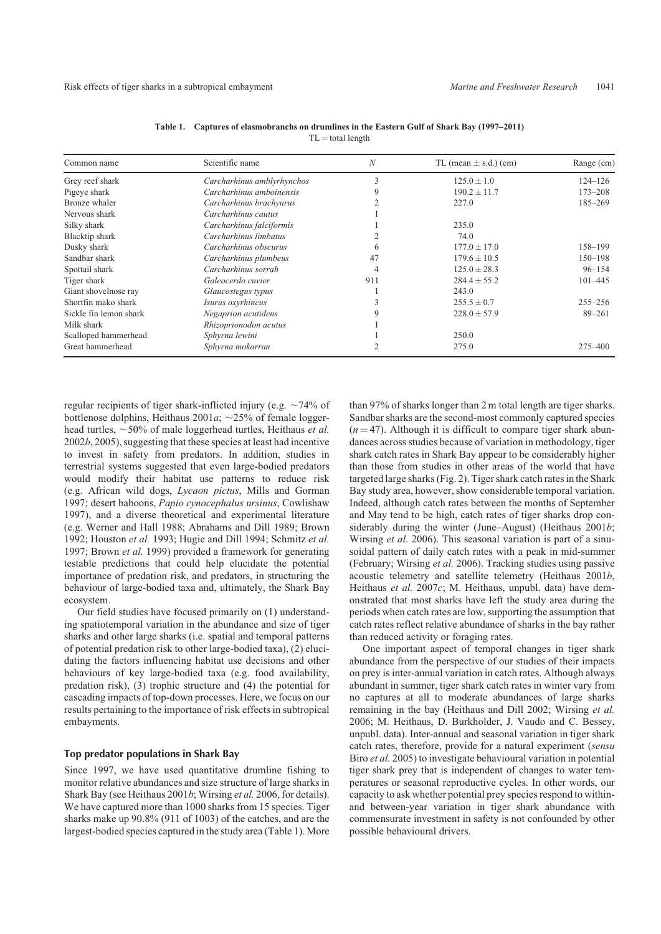| Common name            | Scientific name            | N            | TL (mean $\pm$ s.d.) (cm) | Range (cm)  |
|------------------------|----------------------------|--------------|---------------------------|-------------|
| Grey reef shark        | Carcharhinus amblyrhynchos | 3            | $125.0 \pm 1.0$           | $124 - 126$ |
| Pigeye shark           | Carcharhinus amboinensis   |              | $190.2 \pm 11.7$          | $173 - 208$ |
| Bronze whaler          | Carcharhinus brachyurus    |              | 227.0                     | $185 - 269$ |
| Nervous shark          | Carcharhinus cautus        |              |                           |             |
| Silky shark            | Carcharhinus falciformis   |              | 235.0                     |             |
| Blacktip shark         | Carcharhinus limbatus      |              | 74.0                      |             |
| Dusky shark            | Carcharhinus obscurus      | <sub>(</sub> | $177.0 \pm 17.0$          | 158-199     |
| Sandbar shark          | Carcharhinus plumbeus      | 47           | $179.6 \pm 10.5$          | $150 - 198$ |
| Spottail shark         | Carcharhinus sorrah        | 4            | $125.0 \pm 28.3$          | $96 - 154$  |
| Tiger shark            | Galeocerdo cuvier          | 911          | $284.4 \pm 55.2$          | $101 - 445$ |
| Giant shovelnose ray   | Glaucostegus typus         |              | 243.0                     |             |
| Shortfin mako shark    | Isurus oxyrhincus          |              | $255.5 \pm 0.7$           | $255 - 256$ |
| Sickle fin lemon shark | Negaprion acutidens        |              | $228.0 \pm 57.9$          | $89 - 261$  |
| Milk shark             | Rhizoprionodon acutus      |              |                           |             |
| Scalloped hammerhead   | Sphyrna lewini             |              | 250.0                     |             |
| Great hammerhead       | Sphyrna mokarran           |              | 275.0                     | 275-400     |

Table 1. Captures of elasmobranchs on drumlines in the Eastern Gulf of Shark Bay (1997–2011)  $TL = total length$ 

regular recipients of tiger shark-inflicted injury (e.g.  $\sim$  74% of bottlenose dolphins, Heithaus  $2001a$ ;  $\sim$  25% of female loggerhead turtles,  $\sim$  50% of male loggerhead turtles, Heithaus *et al.* 2002*b*, 2005), suggesting that these species at least had incentive to invest in safety from predators. In addition, studies in terrestrial systems suggested that even large-bodied predators would modify their habitat use patterns to reduce risk (e.g. African wild dogs, *Lycaon pictus*, Mills and Gorman 1997; desert baboons, *Papio cynocephalus ursinus*, Cowlishaw 1997), and a diverse theoretical and experimental literature (e.g. Werner and Hall 1988; Abrahams and Dill 1989; Brown 1992; Houston *et al.* 1993; Hugie and Dill 1994; Schmitz *et al.* 1997; Brown *et al.* 1999) provided a framework for generating testable predictions that could help elucidate the potential importance of predation risk, and predators, in structuring the behaviour of large-bodied taxa and, ultimately, the Shark Bay ecosystem.

Our field studies have focused primarily on (1) understanding spatiotemporal variation in the abundance and size of tiger sharks and other large sharks (i.e. spatial and temporal patterns of potential predation risk to other large-bodied taxa), (2) elucidating the factors influencing habitat use decisions and other behaviours of key large-bodied taxa (e.g. food availability, predation risk), (3) trophic structure and (4) the potential for cascading impacts of top-down processes. Here, we focus on our results pertaining to the importance of risk effects in subtropical embayments.

### Top predator populations in Shark Bay

Since 1997, we have used quantitative drumline fishing to monitor relative abundances and size structure of large sharks in Shark Bay (see Heithaus 2001*b*; Wirsing *et al.* 2006, for details). We have captured more than 1000 sharks from 15 species. Tiger sharks make up 90.8% (911 of 1003) of the catches, and are the largest-bodied species captured in the study area (Table 1). More than 97% of sharks longer than 2 m total length are tiger sharks. Sandbar sharks are the second-most commonly captured species  $(n = 47)$ . Although it is difficult to compare tiger shark abundances across studies because of variation in methodology, tiger shark catch rates in Shark Bay appear to be considerably higher than those from studies in other areas of the world that have targeted large sharks (Fig. 2). Tiger shark catch rates in the Shark Bay study area, however, show considerable temporal variation. Indeed, although catch rates between the months of September and May tend to be high, catch rates of tiger sharks drop considerably during the winter (June–August) (Heithaus 2001*b*; Wirsing *et al.* 2006). This seasonal variation is part of a sinusoidal pattern of daily catch rates with a peak in mid-summer (February; Wirsing *et al.* 2006). Tracking studies using passive acoustic telemetry and satellite telemetry (Heithaus 2001*b*, Heithaus *et al.* 2007*c*; M. Heithaus, unpubl. data) have demonstrated that most sharks have left the study area during the periods when catch rates are low, supporting the assumption that catch rates reflect relative abundance of sharks in the bay rather than reduced activity or foraging rates.

One important aspect of temporal changes in tiger shark abundance from the perspective of our studies of their impacts on prey is inter-annual variation in catch rates. Although always abundant in summer, tiger shark catch rates in winter vary from no captures at all to moderate abundances of large sharks remaining in the bay (Heithaus and Dill 2002; Wirsing *et al.* 2006; M. Heithaus, D. Burkholder, J. Vaudo and C. Bessey, unpubl. data). Inter-annual and seasonal variation in tiger shark catch rates, therefore, provide for a natural experiment (*sensu* Biro *et al.* 2005) to investigate behavioural variation in potential tiger shark prey that is independent of changes to water temperatures or seasonal reproductive cycles. In other words, our capacity to ask whether potential prey species respond to withinand between-year variation in tiger shark abundance with commensurate investment in safety is not confounded by other possible behavioural drivers.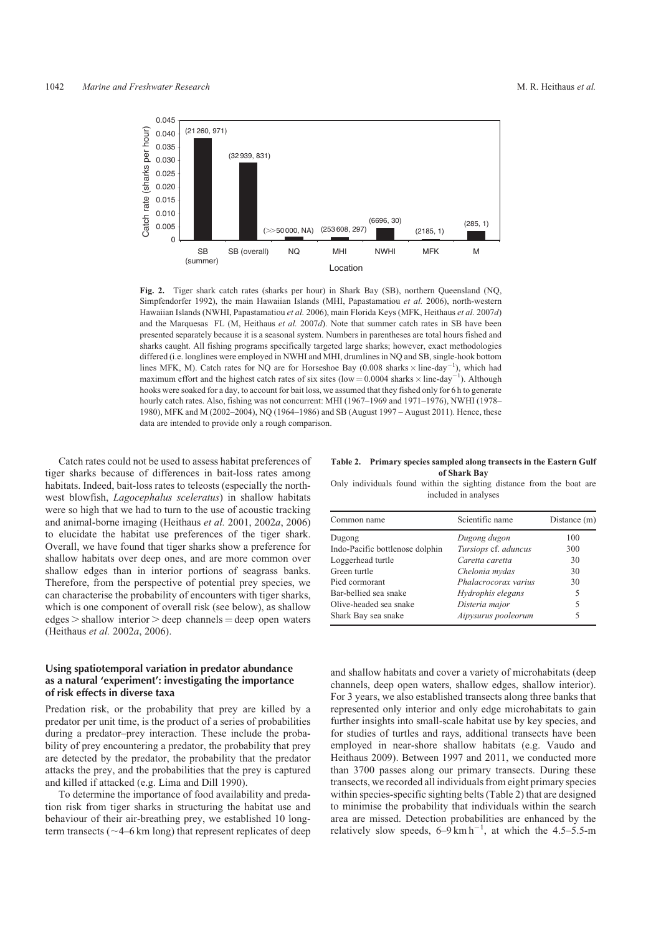

**Fig. 2.** Tiger shark catch rates (sharks per hour) in Shark Bay (SB), northern Queensland (NQ, Simpfendorfer 1992), the main Hawaiian Islands (MHI, Papastamatiou *et al.* 2006), north-western Hawaiian Islands (NWHI, Papastamatiou *et al.* 2006), main Florida Keys (MFK, Heithaus *et al.* 2007*d*) and the Marquesas FL (M, Heithaus *et al.* 2007*d*). Note that summer catch rates in SB have been presented separately because it is a seasonal system. Numbers in parentheses are total hours fished and sharks caught. All fishing programs specifically targeted large sharks; however, exact methodologies differed (i.e. longlines were employed in NWHI and MHI, drumlines in NQ and SB, single-hook bottom lines MFK, M). Catch rates for NO are for Horseshoe Bay (0.008 sharks  $\times$  line-day<sup>-1</sup> <sup>1</sup>), which had maximum effort and the highest catch rates of six sites (low =  $0.0004$  sharks  $\times$  line-day<sup>-1</sup>). Although hooks were soaked for a day, to account for bait loss, we assumed that they fished only for 6 h to generate hourly catch rates. Also, fishing was not concurrent: MHI (1967–1969 and 1971–1976), NWHI (1978– 1980), MFK and M (2002–2004), NQ (1964–1986) and SB (August 1997 – August 2011). Hence, these data are intended to provide only a rough comparison.

Catch rates could not be used to assess habitat preferences of tiger sharks because of differences in bait-loss rates among habitats. Indeed, bait-loss rates to teleosts (especially the northwest blowfish, *Lagocephalus sceleratus*) in shallow habitats were so high that we had to turn to the use of acoustic tracking and animal-borne imaging (Heithaus *et al.* 2001, 2002*a*, 2006) to elucidate the habitat use preferences of the tiger shark. Overall, we have found that tiger sharks show a preference for shallow habitats over deep ones, and are more common over shallow edges than in interior portions of seagrass banks. Therefore, from the perspective of potential prey species, we can characterise the probability of encounters with tiger sharks, which is one component of overall risk (see below), as shallow  $edges > shallow interior > deep channels = deep open waters$ (Heithaus *et al.* 2002*a*, 2006).

#### Using spatiotemporal variation in predator abundance as a natural 'experiment': investigating the importance of risk effects in diverse taxa

Predation risk, or the probability that prey are killed by a predator per unit time, is the product of a series of probabilities during a predator–prey interaction. These include the probability of prey encountering a predator, the probability that prey are detected by the predator, the probability that the predator attacks the prey, and the probabilities that the prey is captured and killed if attacked (e.g. Lima and Dill 1990).

To determine the importance of food availability and predation risk from tiger sharks in structuring the habitat use and behaviour of their air-breathing prey, we established 10 longterm transects ( $\sim$  4–6 km long) that represent replicates of deep

#### **Table 2. Primary species sampled along transects in the Eastern Gulf of Shark Bay**

Only individuals found within the sighting distance from the boat are included in analyses

| Common name                     | Scientific name      | Distance (m)<br>100 |  |
|---------------------------------|----------------------|---------------------|--|
| Dugong                          | Dugong dugon         |                     |  |
| Indo-Pacific bottlenose dolphin | Tursiops cf. aduncus | 300                 |  |
| Loggerhead turtle               | Caretta caretta      | 30                  |  |
| Green turtle                    | Chelonia mydas       | 30                  |  |
| Pied cormorant                  | Phalacrocorax varius | 30                  |  |
| Bar-bellied sea snake           | Hydrophis elegans    | 5                   |  |
| Olive-headed sea snake          | Disteria major       | 5                   |  |
| Shark Bay sea snake             | Aipysurus pooleorum  | 5                   |  |

and shallow habitats and cover a variety of microhabitats (deep channels, deep open waters, shallow edges, shallow interior). For 3 years, we also established transects along three banks that represented only interior and only edge microhabitats to gain further insights into small-scale habitat use by key species, and for studies of turtles and rays, additional transects have been employed in near-shore shallow habitats (e.g. Vaudo and Heithaus 2009). Between 1997 and 2011, we conducted more than 3700 passes along our primary transects. During these transects, we recorded all individuals from eight primary species within species-specific sighting belts (Table 2) that are designed to minimise the probability that individuals within the search area are missed. Detection probabilities are enhanced by the relatively slow speeds,  $6\overline{-9}$  km h<sup>-1</sup>, at which the 4.5-5.5-m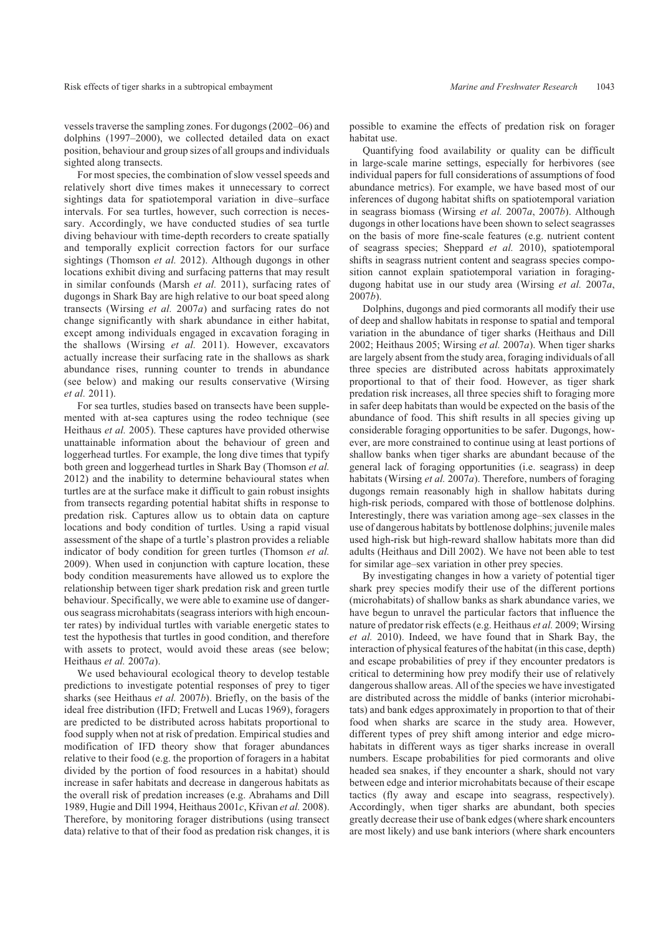vessels traverse the sampling zones. For dugongs (2002–06) and dolphins (1997–2000), we collected detailed data on exact position, behaviour and group sizes of all groups and individuals sighted along transects.

For most species, the combination of slow vessel speeds and relatively short dive times makes it unnecessary to correct sightings data for spatiotemporal variation in dive–surface intervals. For sea turtles, however, such correction is necessary. Accordingly, we have conducted studies of sea turtle diving behaviour with time-depth recorders to create spatially and temporally explicit correction factors for our surface sightings (Thomson *et al.* 2012). Although dugongs in other locations exhibit diving and surfacing patterns that may result in similar confounds (Marsh *et al.* 2011), surfacing rates of dugongs in Shark Bay are high relative to our boat speed along transects (Wirsing *et al.* 2007*a*) and surfacing rates do not change significantly with shark abundance in either habitat, except among individuals engaged in excavation foraging in the shallows (Wirsing *et al.* 2011). However, excavators actually increase their surfacing rate in the shallows as shark abundance rises, running counter to trends in abundance (see below) and making our results conservative (Wirsing *et al.* 2011).

For sea turtles, studies based on transects have been supplemented with at-sea captures using the rodeo technique (see Heithaus *et al.* 2005). These captures have provided otherwise unattainable information about the behaviour of green and loggerhead turtles. For example, the long dive times that typify both green and loggerhead turtles in Shark Bay (Thomson *et al.* 2012) and the inability to determine behavioural states when turtles are at the surface make it difficult to gain robust insights from transects regarding potential habitat shifts in response to predation risk. Captures allow us to obtain data on capture locations and body condition of turtles. Using a rapid visual assessment of the shape of a turtle's plastron provides a reliable indicator of body condition for green turtles (Thomson *et al.* 2009). When used in conjunction with capture location, these body condition measurements have allowed us to explore the relationship between tiger shark predation risk and green turtle behaviour. Specifically, we were able to examine use of dangerous seagrass microhabitats (seagrass interiors with high encounter rates) by individual turtles with variable energetic states to test the hypothesis that turtles in good condition, and therefore with assets to protect, would avoid these areas (see below; Heithaus *et al.* 2007*a*).

We used behavioural ecological theory to develop testable predictions to investigate potential responses of prey to tiger sharks (see Heithaus *et al.* 2007*b*). Briefly, on the basis of the ideal free distribution (IFD; Fretwell and Lucas 1969), foragers are predicted to be distributed across habitats proportional to food supply when not at risk of predation. Empirical studies and modification of IFD theory show that forager abundances relative to their food (e.g. the proportion of foragers in a habitat divided by the portion of food resources in a habitat) should increase in safer habitats and decrease in dangerous habitats as the overall risk of predation increases (e.g. Abrahams and Dill 1989, Hugie and Dill 1994, Heithaus 2001c, Křivan et al. 2008). Therefore, by monitoring forager distributions (using transect data) relative to that of their food as predation risk changes, it is possible to examine the effects of predation risk on forager habitat use.

Quantifying food availability or quality can be difficult in large-scale marine settings, especially for herbivores (see individual papers for full considerations of assumptions of food abundance metrics). For example, we have based most of our inferences of dugong habitat shifts on spatiotemporal variation in seagrass biomass (Wirsing *et al.* 2007*a*, 2007*b*). Although dugongs in other locations have been shown to select seagrasses on the basis of more fine-scale features (e.g. nutrient content of seagrass species; Sheppard *et al.* 2010), spatiotemporal shifts in seagrass nutrient content and seagrass species composition cannot explain spatiotemporal variation in foragingdugong habitat use in our study area (Wirsing *et al.* 2007*a*, 2007*b*).

Dolphins, dugongs and pied cormorants all modify their use of deep and shallow habitats in response to spatial and temporal variation in the abundance of tiger sharks (Heithaus and Dill 2002; Heithaus 2005; Wirsing *et al.* 2007*a*). When tiger sharks are largely absent from the study area, foraging individuals of all three species are distributed across habitats approximately proportional to that of their food. However, as tiger shark predation risk increases, all three species shift to foraging more in safer deep habitats than would be expected on the basis of the abundance of food. This shift results in all species giving up considerable foraging opportunities to be safer. Dugongs, however, are more constrained to continue using at least portions of shallow banks when tiger sharks are abundant because of the general lack of foraging opportunities (i.e. seagrass) in deep habitats (Wirsing *et al.* 2007*a*). Therefore, numbers of foraging dugongs remain reasonably high in shallow habitats during high-risk periods, compared with those of bottlenose dolphins. Interestingly, there was variation among age–sex classes in the use of dangerous habitats by bottlenose dolphins; juvenile males used high-risk but high-reward shallow habitats more than did adults (Heithaus and Dill 2002). We have not been able to test for similar age–sex variation in other prey species.

By investigating changes in how a variety of potential tiger shark prey species modify their use of the different portions (microhabitats) of shallow banks as shark abundance varies, we have begun to unravel the particular factors that influence the nature of predator risk effects (e.g. Heithaus *et al.* 2009; Wirsing *et al.* 2010). Indeed, we have found that in Shark Bay, the interaction of physical features of the habitat (in this case, depth) and escape probabilities of prey if they encounter predators is critical to determining how prey modify their use of relatively dangerous shallow areas. All of the species we have investigated are distributed across the middle of banks (interior microhabitats) and bank edges approximately in proportion to that of their food when sharks are scarce in the study area. However, different types of prey shift among interior and edge microhabitats in different ways as tiger sharks increase in overall numbers. Escape probabilities for pied cormorants and olive headed sea snakes, if they encounter a shark, should not vary between edge and interior microhabitats because of their escape tactics (fly away and escape into seagrass, respectively). Accordingly, when tiger sharks are abundant, both species greatly decrease their use of bank edges (where shark encounters are most likely) and use bank interiors (where shark encounters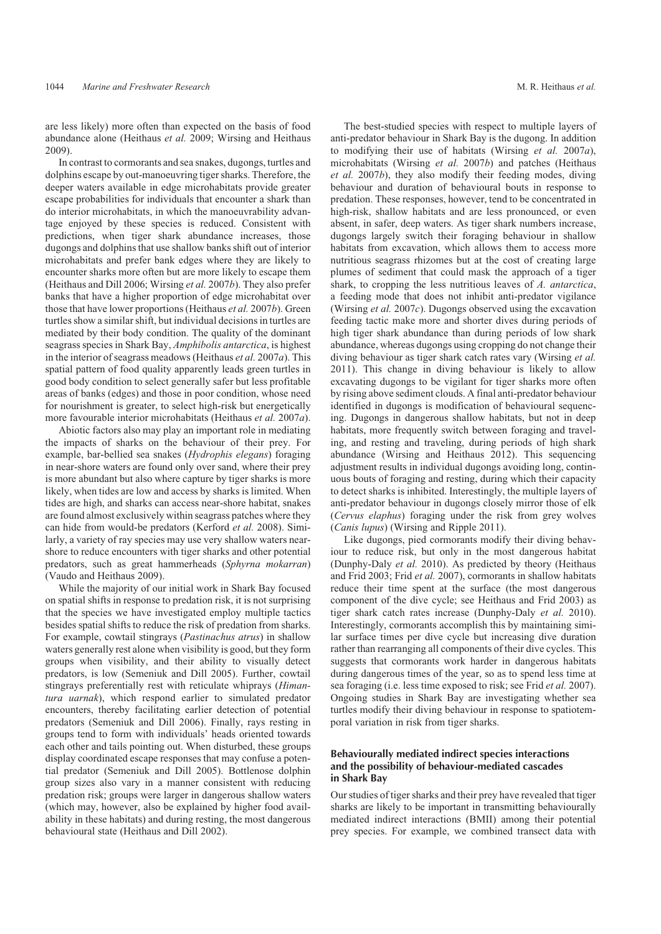are less likely) more often than expected on the basis of food abundance alone (Heithaus *et al.* 2009; Wirsing and Heithaus 2009).

In contrast to cormorants and sea snakes, dugongs, turtles and dolphins escape by out-manoeuvring tiger sharks. Therefore, the deeper waters available in edge microhabitats provide greater escape probabilities for individuals that encounter a shark than do interior microhabitats, in which the manoeuvrability advantage enjoyed by these species is reduced. Consistent with predictions, when tiger shark abundance increases, those dugongs and dolphins that use shallow banks shift out of interior microhabitats and prefer bank edges where they are likely to encounter sharks more often but are more likely to escape them (Heithaus and Dill 2006; Wirsing *et al.* 2007*b*). They also prefer banks that have a higher proportion of edge microhabitat over those that have lower proportions (Heithaus *et al.* 2007*b*). Green turtles show a similar shift, but individual decisions in turtles are mediated by their body condition. The quality of the dominant seagrass species in Shark Bay, *Amphibolis antarctica*, is highest in the interior of seagrass meadows (Heithaus *et al.* 2007*a*). This spatial pattern of food quality apparently leads green turtles in good body condition to select generally safer but less profitable areas of banks (edges) and those in poor condition, whose need for nourishment is greater, to select high-risk but energetically more favourable interior microhabitats (Heithaus *et al.* 2007*a*).

Abiotic factors also may play an important role in mediating the impacts of sharks on the behaviour of their prey. For example, bar-bellied sea snakes (*Hydrophis elegans*) foraging in near-shore waters are found only over sand, where their prey is more abundant but also where capture by tiger sharks is more likely, when tides are low and access by sharks is limited. When tides are high, and sharks can access near-shore habitat, snakes are found almost exclusively within seagrass patches where they can hide from would-be predators (Kerford *et al.* 2008). Similarly, a variety of ray species may use very shallow waters nearshore to reduce encounters with tiger sharks and other potential predators, such as great hammerheads (*Sphyrna mokarran*) (Vaudo and Heithaus 2009).

While the majority of our initial work in Shark Bay focused on spatial shifts in response to predation risk, it is not surprising that the species we have investigated employ multiple tactics besides spatial shifts to reduce the risk of predation from sharks. For example, cowtail stingrays (*Pastinachus atrus*) in shallow waters generally rest alone when visibility is good, but they form groups when visibility, and their ability to visually detect predators, is low (Semeniuk and Dill 2005). Further, cowtail stingrays preferentially rest with reticulate whiprays (*Himantura uarnak*), which respond earlier to simulated predator encounters, thereby facilitating earlier detection of potential predators (Semeniuk and Dill 2006). Finally, rays resting in groups tend to form with individuals' heads oriented towards each other and tails pointing out. When disturbed, these groups display coordinated escape responses that may confuse a potential predator (Semeniuk and Dill 2005). Bottlenose dolphin group sizes also vary in a manner consistent with reducing predation risk; groups were larger in dangerous shallow waters (which may, however, also be explained by higher food availability in these habitats) and during resting, the most dangerous behavioural state (Heithaus and Dill 2002).

The best-studied species with respect to multiple layers of anti-predator behaviour in Shark Bay is the dugong. In addition to modifying their use of habitats (Wirsing *et al.* 2007*a*), microhabitats (Wirsing *et al.* 2007*b*) and patches (Heithaus *et al.* 2007*b*), they also modify their feeding modes, diving behaviour and duration of behavioural bouts in response to predation. These responses, however, tend to be concentrated in high-risk, shallow habitats and are less pronounced, or even absent, in safer, deep waters. As tiger shark numbers increase, dugongs largely switch their foraging behaviour in shallow habitats from excavation, which allows them to access more nutritious seagrass rhizomes but at the cost of creating large plumes of sediment that could mask the approach of a tiger shark, to cropping the less nutritious leaves of *A. antarctica*, a feeding mode that does not inhibit anti-predator vigilance (Wirsing *et al.* 2007*c*). Dugongs observed using the excavation feeding tactic make more and shorter dives during periods of high tiger shark abundance than during periods of low shark abundance, whereas dugongs using cropping do not change their diving behaviour as tiger shark catch rates vary (Wirsing *et al.* 2011). This change in diving behaviour is likely to allow excavating dugongs to be vigilant for tiger sharks more often by rising above sediment clouds. A final anti-predator behaviour identified in dugongs is modification of behavioural sequencing. Dugongs in dangerous shallow habitats, but not in deep habitats, more frequently switch between foraging and traveling, and resting and traveling, during periods of high shark abundance (Wirsing and Heithaus 2012). This sequencing adjustment results in individual dugongs avoiding long, continuous bouts of foraging and resting, during which their capacity to detect sharks is inhibited. Interestingly, the multiple layers of anti-predator behaviour in dugongs closely mirror those of elk (*Cervus elaphus*) foraging under the risk from grey wolves (*Canis lupus*) (Wirsing and Ripple 2011).

Like dugongs, pied cormorants modify their diving behaviour to reduce risk, but only in the most dangerous habitat (Dunphy-Daly *et al.* 2010). As predicted by theory (Heithaus and Frid 2003; Frid *et al.* 2007), cormorants in shallow habitats reduce their time spent at the surface (the most dangerous component of the dive cycle; see Heithaus and Frid 2003) as tiger shark catch rates increase (Dunphy-Daly *et al.* 2010). Interestingly, cormorants accomplish this by maintaining similar surface times per dive cycle but increasing dive duration rather than rearranging all components of their dive cycles. This suggests that cormorants work harder in dangerous habitats during dangerous times of the year, so as to spend less time at sea foraging (i.e. less time exposed to risk; see Frid *et al.* 2007). Ongoing studies in Shark Bay are investigating whether sea turtles modify their diving behaviour in response to spatiotemporal variation in risk from tiger sharks.

## Behaviourally mediated indirect species interactions and the possibility of behaviour-mediated cascades in Shark Bay

Our studies of tiger sharks and their prey have revealed that tiger sharks are likely to be important in transmitting behaviourally mediated indirect interactions (BMII) among their potential prey species. For example, we combined transect data with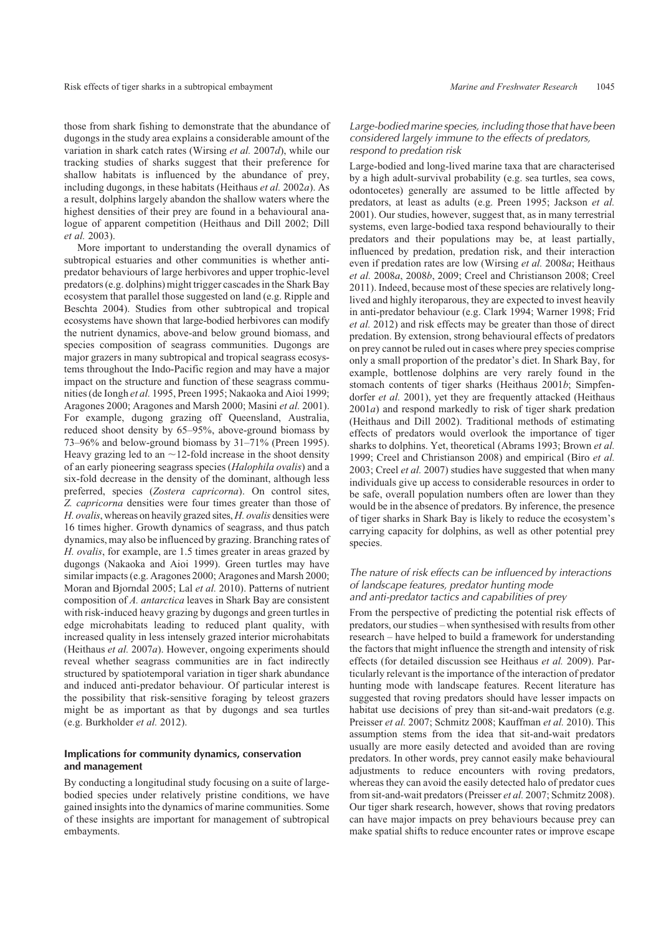those from shark fishing to demonstrate that the abundance of dugongs in the study area explains a considerable amount of the variation in shark catch rates (Wirsing *et al.* 2007*d*), while our tracking studies of sharks suggest that their preference for shallow habitats is influenced by the abundance of prey, including dugongs, in these habitats (Heithaus *et al.* 2002*a*). As a result, dolphins largely abandon the shallow waters where the highest densities of their prey are found in a behavioural analogue of apparent competition (Heithaus and Dill 2002; Dill *et al.* 2003).

More important to understanding the overall dynamics of subtropical estuaries and other communities is whether antipredator behaviours of large herbivores and upper trophic-level predators (e.g. dolphins) might trigger cascades in the Shark Bay ecosystem that parallel those suggested on land (e.g. Ripple and Beschta 2004). Studies from other subtropical and tropical ecosystems have shown that large-bodied herbivores can modify the nutrient dynamics, above-and below ground biomass, and species composition of seagrass communities. Dugongs are major grazers in many subtropical and tropical seagrass ecosystems throughout the Indo-Pacific region and may have a major impact on the structure and function of these seagrass communities (de Iongh *et al.* 1995, Preen 1995; Nakaoka and Aioi 1999; Aragones 2000; Aragones and Marsh 2000; Masini *et al.* 2001). For example, dugong grazing off Queensland, Australia, reduced shoot density by 65–95%, above-ground biomass by 73–96% and below-ground biomass by 31–71% (Preen 1995). Heavy grazing led to an  $\sim$ 12-fold increase in the shoot density of an early pioneering seagrass species (*Halophila ovalis*) and a six-fold decrease in the density of the dominant, although less preferred, species (*Zostera capricorna*). On control sites, *Z. capricorna* densities were four times greater than those of *H. ovalis*, whereas on heavily grazed sites, *H. ovalis* densities were 16 times higher. Growth dynamics of seagrass, and thus patch dynamics, may also be influenced by grazing. Branching rates of *H. ovalis*, for example, are 1.5 times greater in areas grazed by dugongs (Nakaoka and Aioi 1999). Green turtles may have similar impacts (e.g. Aragones 2000; Aragones and Marsh 2000; Moran and Bjorndal 2005; Lal *et al.* 2010). Patterns of nutrient composition of *A. antarctica* leaves in Shark Bay are consistent with risk-induced heavy grazing by dugongs and green turtles in edge microhabitats leading to reduced plant quality, with increased quality in less intensely grazed interior microhabitats (Heithaus *et al.* 2007*a*). However, ongoing experiments should reveal whether seagrass communities are in fact indirectly structured by spatiotemporal variation in tiger shark abundance and induced anti-predator behaviour. Of particular interest is the possibility that risk-sensitive foraging by teleost grazers might be as important as that by dugongs and sea turtles (e.g. Burkholder *et al.* 2012).

#### Implications for community dynamics, conservation and management

By conducting a longitudinal study focusing on a suite of largebodied species under relatively pristine conditions, we have gained insights into the dynamics of marine communities. Some of these insights are important for management of subtropical embayments.

### Large-bodied marine species, including those that have been considered largely immune to the effects of predators, respond to predation risk

Large-bodied and long-lived marine taxa that are characterised by a high adult-survival probability (e.g. sea turtles, sea cows, odontocetes) generally are assumed to be little affected by predators, at least as adults (e.g. Preen 1995; Jackson *et al.* 2001). Our studies, however, suggest that, as in many terrestrial systems, even large-bodied taxa respond behaviourally to their predators and their populations may be, at least partially, influenced by predation, predation risk, and their interaction even if predation rates are low (Wirsing *et al.* 2008*a*; Heithaus *et al.* 2008*a*, 2008*b*, 2009; Creel and Christianson 2008; Creel 2011). Indeed, because most of these species are relatively longlived and highly iteroparous, they are expected to invest heavily in anti-predator behaviour (e.g. Clark 1994; Warner 1998; Frid *et al.* 2012) and risk effects may be greater than those of direct predation. By extension, strong behavioural effects of predators on prey cannot be ruled out in cases where prey species comprise only a small proportion of the predator's diet. In Shark Bay, for example, bottlenose dolphins are very rarely found in the stomach contents of tiger sharks (Heithaus 2001*b*; Simpfendorfer *et al.* 2001), yet they are frequently attacked (Heithaus 2001*a*) and respond markedly to risk of tiger shark predation (Heithaus and Dill 2002). Traditional methods of estimating effects of predators would overlook the importance of tiger sharks to dolphins. Yet, theoretical (Abrams 1993; Brown *et al.* 1999; Creel and Christianson 2008) and empirical (Biro *et al.* 2003; Creel *et al.* 2007) studies have suggested that when many individuals give up access to considerable resources in order to be safe, overall population numbers often are lower than they would be in the absence of predators. By inference, the presence of tiger sharks in Shark Bay is likely to reduce the ecosystem's carrying capacity for dolphins, as well as other potential prey species.

### The nature of risk effects can be influenced by interactions of landscape features, predator hunting mode and anti-predator tactics and capabilities of prey

From the perspective of predicting the potential risk effects of predators, our studies – when synthesised with results from other research – have helped to build a framework for understanding the factors that might influence the strength and intensity of risk effects (for detailed discussion see Heithaus *et al.* 2009). Particularly relevant is the importance of the interaction of predator hunting mode with landscape features. Recent literature has suggested that roving predators should have lesser impacts on habitat use decisions of prey than sit-and-wait predators (e.g. Preisser *et al.* 2007; Schmitz 2008; Kauffman *et al.* 2010). This assumption stems from the idea that sit-and-wait predators usually are more easily detected and avoided than are roving predators. In other words, prey cannot easily make behavioural adjustments to reduce encounters with roving predators, whereas they can avoid the easily detected halo of predator cues from sit-and-wait predators (Preisser *et al.* 2007; Schmitz 2008). Our tiger shark research, however, shows that roving predators can have major impacts on prey behaviours because prey can make spatial shifts to reduce encounter rates or improve escape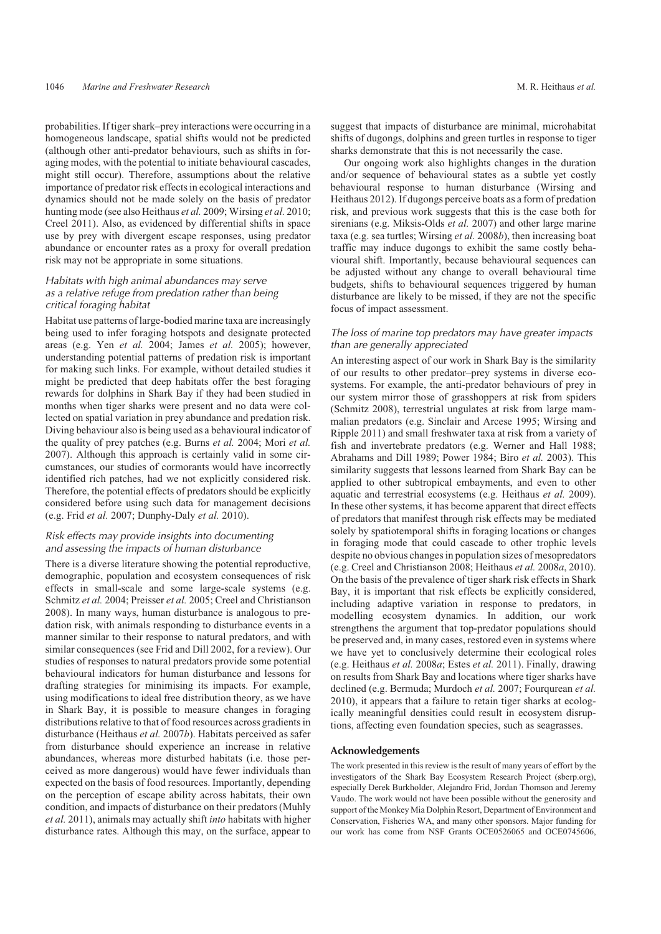probabilities. If tiger shark–prey interactions were occurring in a homogeneous landscape, spatial shifts would not be predicted (although other anti-predator behaviours, such as shifts in foraging modes, with the potential to initiate behavioural cascades, might still occur). Therefore, assumptions about the relative importance of predator risk effects in ecological interactions and dynamics should not be made solely on the basis of predator hunting mode (see also Heithaus *et al.* 2009; Wirsing *et al.* 2010; Creel 2011). Also, as evidenced by differential shifts in space use by prey with divergent escape responses, using predator abundance or encounter rates as a proxy for overall predation risk may not be appropriate in some situations.

## Habitats with high animal abundances may serve as a relative refuge from predation rather than being critical foraging habitat

Habitat use patterns of large-bodied marine taxa are increasingly being used to infer foraging hotspots and designate protected areas (e.g. Yen *et al.* 2004; James *et al.* 2005); however, understanding potential patterns of predation risk is important for making such links. For example, without detailed studies it might be predicted that deep habitats offer the best foraging rewards for dolphins in Shark Bay if they had been studied in months when tiger sharks were present and no data were collected on spatial variation in prey abundance and predation risk. Diving behaviour also is being used as a behavioural indicator of the quality of prey patches (e.g. Burns *et al.* 2004; Mori *et al.* 2007). Although this approach is certainly valid in some circumstances, our studies of cormorants would have incorrectly identified rich patches, had we not explicitly considered risk. Therefore, the potential effects of predators should be explicitly considered before using such data for management decisions (e.g. Frid *et al.* 2007; Dunphy-Daly *et al.* 2010).

# Risk effects may provide insights into documenting and assessing the impacts of human disturbance

There is a diverse literature showing the potential reproductive, demographic, population and ecosystem consequences of risk effects in small-scale and some large-scale systems (e.g. Schmitz *et al.* 2004; Preisser *et al.* 2005; Creel and Christianson 2008). In many ways, human disturbance is analogous to predation risk, with animals responding to disturbance events in a manner similar to their response to natural predators, and with similar consequences (see Frid and Dill 2002, for a review). Our studies of responses to natural predators provide some potential behavioural indicators for human disturbance and lessons for drafting strategies for minimising its impacts. For example, using modifications to ideal free distribution theory, as we have in Shark Bay, it is possible to measure changes in foraging distributions relative to that of food resources across gradients in disturbance (Heithaus *et al.* 2007*b*). Habitats perceived as safer from disturbance should experience an increase in relative abundances, whereas more disturbed habitats (i.e. those perceived as more dangerous) would have fewer individuals than expected on the basis of food resources. Importantly, depending on the perception of escape ability across habitats, their own condition, and impacts of disturbance on their predators (Muhly *et al.* 2011), animals may actually shift *into* habitats with higher disturbance rates. Although this may, on the surface, appear to suggest that impacts of disturbance are minimal, microhabitat shifts of dugongs, dolphins and green turtles in response to tiger sharks demonstrate that this is not necessarily the case.

Our ongoing work also highlights changes in the duration and/or sequence of behavioural states as a subtle yet costly behavioural response to human disturbance (Wirsing and Heithaus 2012). If dugongs perceive boats as a form of predation risk, and previous work suggests that this is the case both for sirenians (e.g. Miksis-Olds *et al.* 2007) and other large marine taxa (e.g. sea turtles; Wirsing *et al.* 2008*b*), then increasing boat traffic may induce dugongs to exhibit the same costly behavioural shift. Importantly, because behavioural sequences can be adjusted without any change to overall behavioural time budgets, shifts to behavioural sequences triggered by human disturbance are likely to be missed, if they are not the specific focus of impact assessment.

## The loss of marine top predators may have greater impacts than are generally appreciated

An interesting aspect of our work in Shark Bay is the similarity of our results to other predator–prey systems in diverse ecosystems. For example, the anti-predator behaviours of prey in our system mirror those of grasshoppers at risk from spiders (Schmitz 2008), terrestrial ungulates at risk from large mammalian predators (e.g. Sinclair and Arcese 1995; Wirsing and Ripple 2011) and small freshwater taxa at risk from a variety of fish and invertebrate predators (e.g. Werner and Hall 1988; Abrahams and Dill 1989; Power 1984; Biro *et al.* 2003). This similarity suggests that lessons learned from Shark Bay can be applied to other subtropical embayments, and even to other aquatic and terrestrial ecosystems (e.g. Heithaus *et al.* 2009). In these other systems, it has become apparent that direct effects of predators that manifest through risk effects may be mediated solely by spatiotemporal shifts in foraging locations or changes in foraging mode that could cascade to other trophic levels despite no obvious changes in population sizes of mesopredators (e.g. Creel and Christianson 2008; Heithaus *et al.* 2008*a*, 2010). On the basis of the prevalence of tiger shark risk effects in Shark Bay, it is important that risk effects be explicitly considered, including adaptive variation in response to predators, in modelling ecosystem dynamics. In addition, our work strengthens the argument that top-predator populations should be preserved and, in many cases, restored even in systems where we have yet to conclusively determine their ecological roles (e.g. Heithaus *et al.* 2008*a*; Estes *et al.* 2011). Finally, drawing on results from Shark Bay and locations where tiger sharks have declined (e.g. Bermuda; Murdoch *et al.* 2007; Fourqurean *et al.* 2010), it appears that a failure to retain tiger sharks at ecologically meaningful densities could result in ecosystem disruptions, affecting even foundation species, such as seagrasses.

#### Acknowledgements

The work presented in this review is the result of many years of effort by the investigators of the Shark Bay Ecosystem Research Project (sberp.org), especially Derek Burkholder, Alejandro Frid, Jordan Thomson and Jeremy Vaudo. The work would not have been possible without the generosity and support of the Monkey Mia Dolphin Resort, Department of Environment and Conservation, Fisheries WA, and many other sponsors. Major funding for our work has come from NSF Grants OCE0526065 and OCE0745606,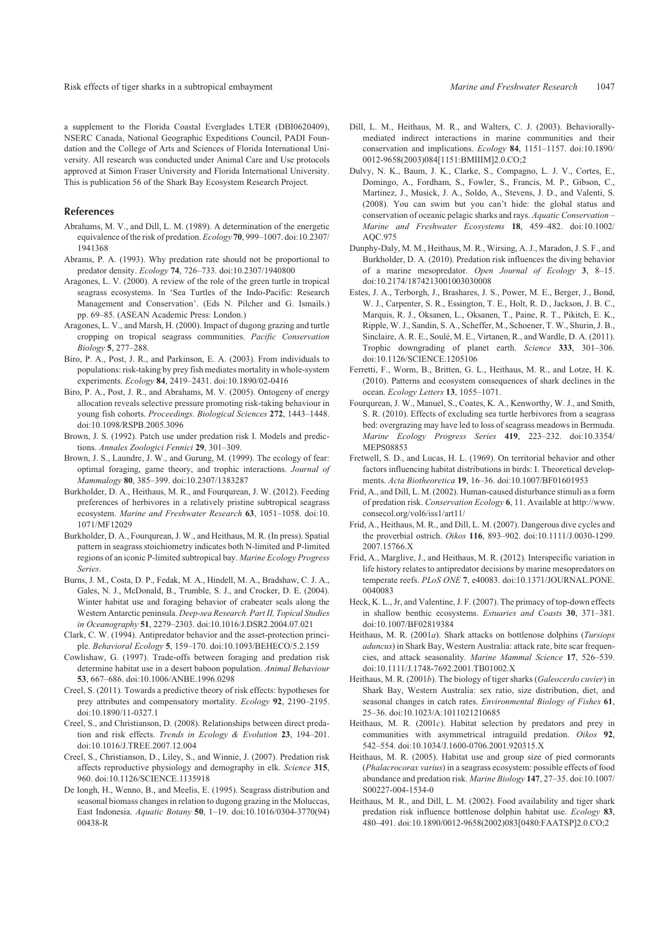Risk effects of tiger sharks in a subtropical embayment *Marine and Freshwater Research* 1047

a supplement to the Florida Coastal Everglades LTER (DBI0620409), NSERC Canada, National Geographic Expeditions Council, PADI Foundation and the College of Arts and Sciences of Florida International University. All research was conducted under Animal Care and Use protocols approved at Simon Fraser University and Florida International University. This is publication 56 of the Shark Bay Ecosystem Research Project.

## References

- Abrahams, M. V., and Dill, L. M. (1989). A determination of the energetic equivalence of the risk of predation. *Ecology* **70**, 999–1007. doi:10.2307/ 1941368
- Abrams, P. A. (1993). Why predation rate should not be proportional to predator density. *Ecology* **74**, 726–733. doi:10.2307/1940800
- Aragones, L. V. (2000). A review of the role of the green turtle in tropical seagrass ecosystems. In 'Sea Turtles of the Indo-Pacific: Research Management and Conservation'. (Eds N. Pilcher and G. Ismails.) pp. 69–85. (ASEAN Academic Press: London.)
- Aragones, L. V., and Marsh, H. (2000). Impact of dugong grazing and turtle cropping on tropical seagrass communities. *Pacific Conservation Biology* **5**, 277–288.
- Biro, P. A., Post, J. R., and Parkinson, E. A. (2003). From individuals to populations: risk-taking by prey fish mediates mortality in whole-system experiments. *Ecology* **84**, 2419–2431. doi:10.1890/02-0416
- Biro, P. A., Post, J. R., and Abrahams, M. V. (2005). Ontogeny of energy allocation reveals selective pressure promoting risk-taking behaviour in young fish cohorts. *Proceedings. Biological Sciences* **272**, 1443–1448. doi:10.1098/RSPB.2005.3096
- Brown, J. S. (1992). Patch use under predation risk I. Models and predictions. *Annales Zoologici Fennici* **29**, 301–309.
- Brown, J. S., Laundre, J. W., and Gurung, M. (1999). The ecology of fear: optimal foraging, game theory, and trophic interactions. *Journal of Mammalogy* **80**, 385–399. doi:10.2307/1383287
- Burkholder, D. A., Heithaus, M. R., and Fourqurean, J. W. (2012). Feeding preferences of herbivores in a relatively pristine subtropical seagrass ecosystem. *Marine and Freshwater Research* **63**, 1051–1058. doi:10. 1071/MF12029
- Burkholder, D. A., Fourqurean, J. W., and Heithaus, M. R. (In press). Spatial pattern in seagrass stoichiometry indicates both N-limited and P-limited regions of an iconic P-limited subtropical bay. *Marine Ecology Progress Series*.
- Burns, J. M., Costa, D. P., Fedak, M. A., Hindell, M. A., Bradshaw, C. J. A., Gales, N. J., McDonald, B., Trumble, S. J., and Crocker, D. E. (2004). Winter habitat use and foraging behavior of crabeater seals along the Western Antarctic peninsula. *Deep-sea Research. Part II, Topical Studies in Oceanography* **51**, 2279–2303. doi:10.1016/J.DSR2.2004.07.021
- Clark, C. W. (1994). Antipredator behavior and the asset-protection principle. *Behavioral Ecology* **5**, 159–170. doi:10.1093/BEHECO/5.2.159
- Cowlishaw, G. (1997). Trade-offs between foraging and predation risk determine habitat use in a desert baboon population. *Animal Behaviour* **53**, 667–686. doi:10.1006/ANBE.1996.0298
- Creel, S. (2011). Towards a predictive theory of risk effects: hypotheses for prey attributes and compensatory mortality. *Ecology* **92**, 2190–2195. doi:10.1890/11-0327.1
- Creel, S., and Christianson, D. (2008). Relationships between direct predation and risk effects. *Trends in Ecology & Evolution* **23**, 194–201. doi:10.1016/J.TREE.2007.12.004
- Creel, S., Christianson, D., Liley, S., and Winnie, J. (2007). Predation risk affects reproductive physiology and demography in elk. *Science* **315**, 960. doi:10.1126/SCIENCE.1135918
- De Iongh, H., Wenno, B., and Meelis, E. (1995). Seagrass distribution and seasonal biomass changes in relation to dugong grazing in the Moluccas, East Indonesia. *Aquatic Botany* **50**, 1–19. doi:10.1016/0304-3770(94) 00438-R
- Dill, L. M., Heithaus, M. R., and Walters, C. J. (2003). Behaviorallymediated indirect interactions in marine communities and their conservation and implications. *Ecology* **84**, 1151–1157. doi:10.1890/ 0012-9658(2003)084[1151:BMIIIM]2.0.CO;2
- Dulvy, N. K., Baum, J. K., Clarke, S., Compagno, L. J. V., Cortes, E., Domingo, A., Fordham, S., Fowler, S., Francis, M. P., Gibson, C., Martinez, J., Musick, J. A., Soldo, A., Stevens, J. D., and Valenti, S. (2008). You can swim but you can't hide: the global status and conservation of oceanic pelagic sharks and rays. *Aquatic Conservation – Marine and Freshwater Ecosystems* **18**, 459–482. doi:10.1002/ AQC.975
- Dunphy-Daly, M. M., Heithaus, M. R., Wirsing, A. J., Maradon, J. S. F., and Burkholder, D. A. (2010). Predation risk influences the diving behavior of a marine mesopredator. *Open Journal of Ecology* **3**, 8–15. doi:10.2174/1874213001003030008
- Estes, J. A., Terborgh, J., Brashares, J. S., Power, M. E., Berger, J., Bond, W. J., Carpenter, S. R., Essington, T. E., Holt, R. D., Jackson, J. B. C., Marquis, R. J., Oksanen, L., Oksanen, T., Paine, R. T., Pikitch, E. K., Ripple, W. J., Sandin, S. A., Scheffer, M., Schoener, T. W., Shurin, J. B., Sinclaire, A. R. E., Soulé, M. E., Virtanen, R., and Wardle, D. A. (2011). Trophic downgrading of planet earth. *Science* **333**, 301–306. doi:10.1126/SCIENCE.1205106
- Ferretti, F., Worm, B., Britten, G. L., Heithaus, M. R., and Lotze, H. K. (2010). Patterns and ecosystem consequences of shark declines in the ocean. *Ecology Letters* **13**, 1055–1071.
- Fourqurean, J. W., Manuel, S., Coates, K. A., Kenworthy, W. J., and Smith, S. R. (2010). Effects of excluding sea turtle herbivores from a seagrass bed: overgrazing may have led to loss of seagrass meadows in Bermuda. *Marine Ecology Progress Series* **419**, 223–232. doi:10.3354/ **MEPS08853**
- Fretwell, S. D., and Lucas, H. L. (1969). On territorial behavior and other factors influencing habitat distributions in birds: I. Theoretical developments. *Acta Biotheoretica* **19**, 16–36. doi:10.1007/BF01601953
- Frid, A., and Dill, L. M. (2002). Human-caused disturbance stimuli as a form of predation risk. *Conservation Ecology* **6**, 11. Available at [http://www.](http://www.consecol.org/vol6/iss1/art11/) [consecol.org/vol6/iss1/art11/](http://www.consecol.org/vol6/iss1/art11/)
- Frid, A., Heithaus, M. R., and Dill, L. M. (2007). Dangerous dive cycles and the proverbial ostrich. *Oikos* **116**, 893–902. doi:10.1111/J.0030-1299. 2007.15766.X
- Frid, A., Marglive, J., and Heithaus, M. R. (2012). Interspecific variation in life history relates to antipredator decisions by marine mesopredators on temperate reefs. *PLoS ONE* **7**, e40083. doi:10.1371/JOURNAL.PONE. 0040083
- Heck, K. L., Jr, and Valentine, J. F. (2007). The primacy of top-down effects in shallow benthic ecosystems. *Estuaries and Coasts* **30**, 371–381. doi:10.1007/BF02819384
- Heithaus, M. R. (2001*a*). Shark attacks on bottlenose dolphins (*Tursiops aduncus*) in Shark Bay, Western Australia: attack rate, bite scar frequencies, and attack seasonality. *Marine Mammal Science* **17**, 526–539. doi:10.1111/J.1748-7692.2001.TB01002.X
- Heithaus, M. R. (2001*b*). The biology of tiger sharks (*Galeocerdo cuvier*) in Shark Bay, Western Australia: sex ratio, size distribution, diet, and seasonal changes in catch rates. *Environmental Biology of Fishes* **61**, 25–36. doi:10.1023/A:1011021210685
- Heithaus, M. R. (2001*c*). Habitat selection by predators and prey in communities with asymmetrical intraguild predation. *Oikos* **92**, 542–554. doi:10.1034/J.1600-0706.2001.920315.X
- Heithaus, M. R. (2005). Habitat use and group size of pied cormorants (*Phalacrocorax varius*) in a seagrass ecosystem: possible effects of food abundance and predation risk. *Marine Biology* **147**, 27–35. doi:10.1007/ S00227-004-1534-0
- Heithaus, M. R., and Dill, L. M. (2002). Food availability and tiger shark predation risk influence bottlenose dolphin habitat use. *Ecology* **83**, 480–491. doi:10.1890/0012-9658(2002)083[0480:FAATSP]2.0.CO;2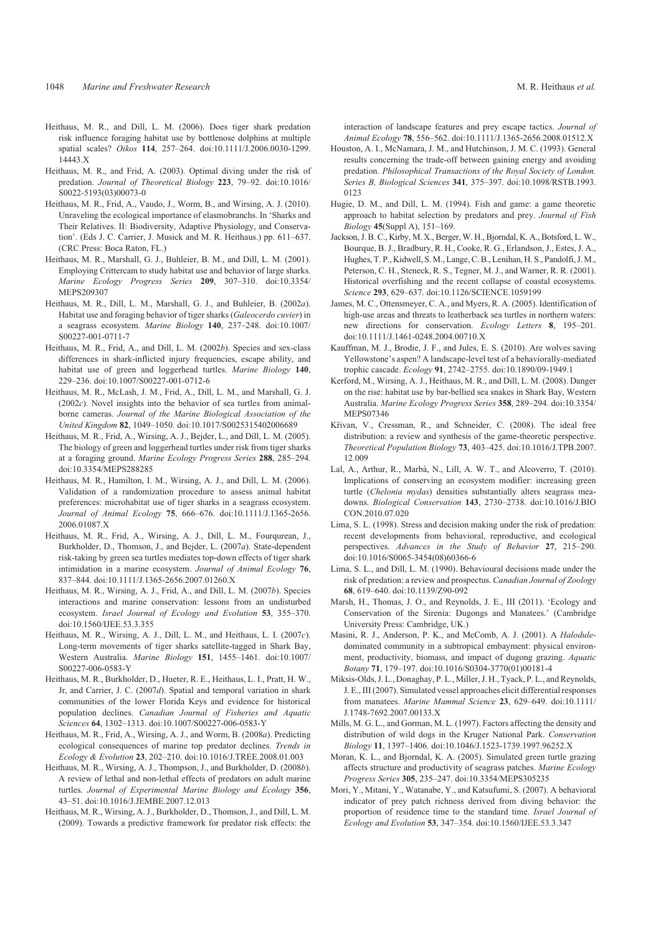- Heithaus, M. R., and Dill, L. M. (2006). Does tiger shark predation risk influence foraging habitat use by bottlenose dolphins at multiple spatial scales? *Oikos* **114**, 257–264. doi:10.1111/J.2006.0030-1299. 14443.X
- Heithaus, M. R., and Frid, A. (2003). Optimal diving under the risk of predation. *Journal of Theoretical Biology* **223**, 79–92. doi:10.1016/ S0022-5193(03)00073-0
- Heithaus, M. R., Frid, A., Vaudo, J., Worm, B., and Wirsing, A. J. (2010). Unraveling the ecological importance of elasmobranchs. In 'Sharks and Their Relatives. II: Biodiversity, Adaptive Physiology, and Conservation'. (Eds J. C. Carrier, J. Musick and M. R. Heithaus.) pp. 611–637. (CRC Press: Boca Raton, FL.)
- Heithaus, M. R., Marshall, G. J., Buhleier, B. M., and Dill, L. M. (2001). Employing Crittercam to study habitat use and behavior of large sharks. *Marine Ecology Progress Series* **209**, 307–310. doi:10.3354/ MEPS209307
- Heithaus, M. R., Dill, L. M., Marshall, G. J., and Buhleier, B. (2002*a*). Habitat use and foraging behavior of tiger sharks (*Galeocerdo cuvier*) in a seagrass ecosystem. *Marine Biology* **140**, 237–248. doi:10.1007/ S00227-001-0711-7
- Heithaus, M. R., Frid, A., and Dill, L. M. (2002*b*). Species and sex-class differences in shark-inflicted injury frequencies, escape ability, and habitat use of green and loggerhead turtles. *Marine Biology* **140**, 229–236. doi:10.1007/S00227-001-0712-6
- Heithaus, M. R., McLash, J. M., Frid, A., Dill, L. M., and Marshall, G. J. (2002*c*). Novel insights into the behavior of sea turtles from animalborne cameras. *Journal of the Marine Biological Association of the United Kingdom* **82**, 1049–1050. doi:10.1017/S0025315402006689
- Heithaus, M. R., Frid, A., Wirsing, A. J., Bejder, L., and Dill, L. M. (2005). The biology of green and loggerhead turtles under risk from tiger sharks at a foraging ground. *Marine Ecology Progress Series* **288**, 285–294. doi:10.3354/MEPS288285
- Heithaus, M. R., Hamilton, I. M., Wirsing, A. J., and Dill, L. M. (2006). Validation of a randomization procedure to assess animal habitat preferences: microhabitat use of tiger sharks in a seagrass ecosystem. *Journal of Animal Ecology* **75**, 666–676. doi:10.1111/J.1365-2656. 2006.01087.X
- Heithaus, M. R., Frid, A., Wirsing, A. J., Dill, L. M., Fourqurean, J., Burkholder, D., Thomson, J., and Bejder, L. (2007*a*). State-dependent risk-taking by green sea turtles mediates top-down effects of tiger shark intimidation in a marine ecosystem. *Journal of Animal Ecology* **76**, 837–844. doi:10.1111/J.1365-2656.2007.01260.X
- Heithaus, M. R., Wirsing, A. J., Frid, A., and Dill, L. M. (2007*b*). Species interactions and marine conservation: lessons from an undisturbed ecosystem. *Israel Journal of Ecology and Evolution* **53**, 355–370. doi:10.1560/IJEE.53.3.355
- Heithaus, M. R., Wirsing, A. J., Dill, L. M., and Heithaus, L. I. (2007*c*). Long-term movements of tiger sharks satellite-tagged in Shark Bay, Western Australia. *Marine Biology* **151**, 1455–1461. doi:10.1007/ S00227-006-0583-Y
- Heithaus, M. R., Burkholder, D., Hueter, R. E., Heithaus, L. I., Pratt, H. W., Jr, and Carrier, J. C. (2007*d*). Spatial and temporal variation in shark communities of the lower Florida Keys and evidence for historical population declines. *Canadian Journal of Fisheries and Aquatic Sciences* **64**, 1302–1313. doi:10.1007/S00227-006-0583-Y
- Heithaus, M. R., Frid, A., Wirsing, A. J., and Worm, B. (2008*a*). Predicting ecological consequences of marine top predator declines. *Trends in Ecology & Evolution* **23**, 202–210. doi:10.1016/J.TREE.2008.01.003
- Heithaus, M. R., Wirsing, A. J., Thompson, J., and Burkholder, D. (2008*b*). A review of lethal and non-lethal effects of predators on adult marine turtles. *Journal of Experimental Marine Biology and Ecology* **356**, 43–51. doi:10.1016/J.JEMBE.2007.12.013
- Heithaus, M. R., Wirsing, A. J., Burkholder, D., Thomson, J., and Dill, L. M. (2009). Towards a predictive framework for predator risk effects: the

interaction of landscape features and prey escape tactics. *Journal of Animal Ecology* **78**, 556–562. doi:10.1111/J.1365-2656.2008.01512.X

- Houston, A. I., McNamara, J. M., and Hutchinson, J. M. C. (1993). General results concerning the trade-off between gaining energy and avoiding predation. *Philosophical Transactions of the Royal Society of London. Series B, Biological Sciences* **341**, 375–397. doi:10.1098/RSTB.1993. 0123
- Hugie, D. M., and Dill, L. M. (1994). Fish and game: a game theoretic approach to habitat selection by predators and prey. *Journal of Fish Biology* **45**(Suppl A), 151–169.
- Jackson, J. B. C., Kirby, M. X., Berger, W. H., Bjorndal, K. A., Botsford, L. W., Bourque, B. J., Bradbury, R. H., Cooke, R. G., Erlandson, J., Estes, J. A., Hughes, T. P., Kidwell, S. M., Lange, C. B., Lenihan, H. S., Pandolfi, J. M., Peterson, C. H., Steneck, R. S., Tegner, M. J., and Warner, R. R. (2001). Historical overfishing and the recent collapse of coastal ecosystems. *Science* **293**, 629–637. doi:10.1126/SCIENCE.1059199
- James, M. C., Ottensmeyer, C. A., and Myers, R. A. (2005). Identification of high-use areas and threats to leatherback sea turtles in northern waters: new directions for conservation. *Ecology Letters* **8**, 195–201. doi:10.1111/J.1461-0248.2004.00710.X
- Kauffman, M. J., Brodie, J. F., and Jules, E. S. (2010). Are wolves saving Yellowstone's aspen? A landscape-level test of a behaviorally-mediated trophic cascade. *Ecology* **91**, 2742–2755. doi:10.1890/09-1949.1
- Kerford, M., Wirsing, A. J., Heithaus, M. R., and Dill, L. M. (2008). Danger on the rise: habitat use by bar-bellied sea snakes in Shark Bay, Western Australia. *Marine Ecology Progress Series* **358**, 289–294. doi:10.3354/ MEPS07346
- Křivan, V., Cressman, R., and Schneider, C. (2008). The ideal free distribution: a review and synthesis of the game-theoretic perspective. *Theoretical Population Biology* **73**, 403–425. doi:10.1016/J.TPB.2007. 12.009
- Lal, A., Arthur, R., Marbà, N., Lill, A. W. T., and Alcoverro, T. (2010). Implications of conserving an ecosystem modifier: increasing green turtle (*Chelonia mydas*) densities substantially alters seagrass meadowns. *Biological Conservation* **143**, 2730–2738. doi:10.1016/J.BIO CON.2010.07.020
- Lima, S. L. (1998). Stress and decision making under the risk of predation: recent developments from behavioral, reproductive, and ecological perspectives. *Advances in the Study of Behavior* **27**, 215–290. doi:10.1016/S0065-3454(08)60366-6
- Lima, S. L., and Dill, L. M. (1990). Behavioural decisions made under the risk of predation: a review and prospectus. *Canadian Journal of Zoology* **68**, 619–640. doi:10.1139/Z90-092
- Marsh, H., Thomas, J. O., and Reynolds, J. E., III (2011). 'Ecology and Conservation of the Sirenia: Dugongs and Manatees.' (Cambridge University Press: Cambridge, UK.)
- Masini, R. J., Anderson, P. K., and McComb, A. J. (2001). A *Halodule*dominated community in a subtropical embayment: physical environment, productivity, biomass, and impact of dugong grazing. *Aquatic Botany* **71**, 179–197. doi:10.1016/S0304-3770(01)00181-4
- Miksis-Olds, J. L., Donaghay, P. L., Miller, J. H., Tyack, P. L., and Reynolds, J. E., III (2007). Simulated vessel approaches elicit differential responses from manatees. *Marine Mammal Science* **23**, 629–649. doi:10.1111/ J.1748-7692.2007.00133.X
- Mills, M. G. L., and Gorman, M. L. (1997). Factors affecting the density and distribution of wild dogs in the Kruger National Park. *Conservation Biology* **11**, 1397–1406. doi:10.1046/J.1523-1739.1997.96252.X
- Moran, K. L., and Bjorndal, K. A. (2005). Simulated green turtle grazing affects structure and productivity of seagrass patches. *Marine Ecology Progress Series* **305**, 235–247. doi:10.3354/MEPS305235
- Mori, Y., Mitani, Y., Watanabe, Y., and Katsufumi, S. (2007). A behavioral indicator of prey patch richness derived from diving behavior: the proportion of residence time to the standard time. *Israel Journal of Ecology and Evolution* **53**, 347–354. doi:10.1560/IJEE.53.3.347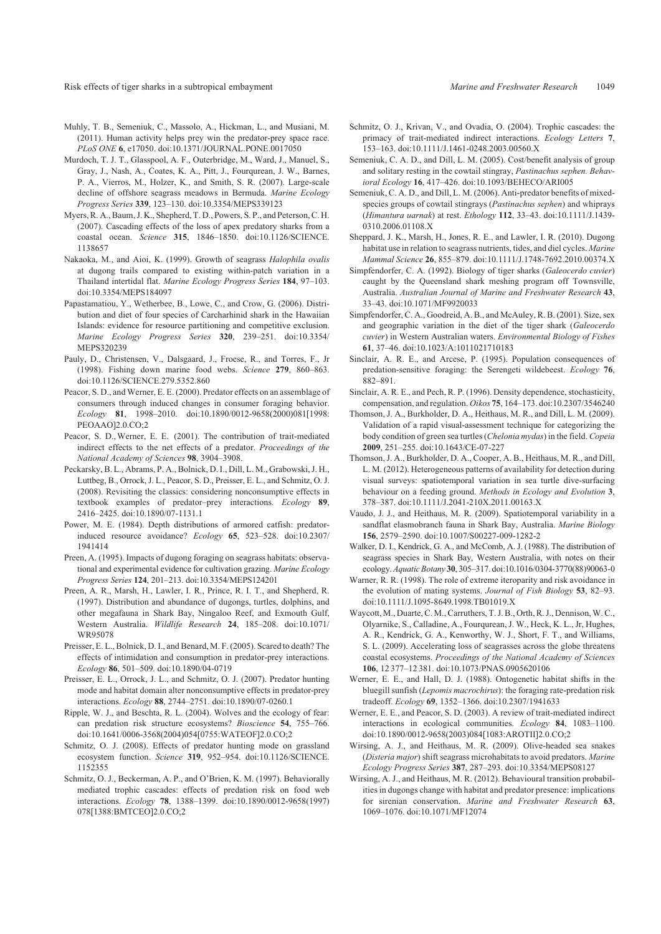Risk effects of tiger sharks in a subtropical embayment *Marine and Freshwater Research* 1049

- Muhly, T. B., Semeniuk, C., Massolo, A., Hickman, L., and Musiani, M. (2011). Human activity helps prey win the predator-prey space race. *PLoS ONE* **6**, e17050. doi:10.1371/JOURNAL.PONE.0017050
- Murdoch, T. J. T., Glasspool, A. F., Outerbridge, M., Ward, J., Manuel, S., Gray, J., Nash, A., Coates, K. A., Pitt, J., Fourqurean, J. W., Barnes, P. A., Vierros, M., Holzer, K., and Smith, S. R. (2007). Large-scale decline of offshore seagrass meadows in Bermuda. *Marine Ecology Progress Series* **339**, 123–130. doi:10.3354/MEPS339123
- Myers, R. A., Baum, J. K., Shepherd, T. D., Powers, S. P., and Peterson, C. H. (2007). Cascading effects of the loss of apex predatory sharks from a coastal ocean. *Science* **315**, 1846–1850. doi:10.1126/SCIENCE. 1138657
- Nakaoka, M., and Aioi, K. (1999). Growth of seagrass *Halophila ovalis* at dugong trails compared to existing within-patch variation in a Thailand intertidal flat. *Marine Ecology Progress Series* **184**, 97–103. doi:10.3354/MEPS184097
- Papastamatiou, Y., Wetherbee, B., Lowe, C., and Crow, G. (2006). Distribution and diet of four species of Carcharhinid shark in the Hawaiian Islands: evidence for resource partitioning and competitive exclusion. *Marine Ecology Progress Series* **320**, 239–251. doi:10.3354/ MEPS320239
- Pauly, D., Christensen, V., Dalsgaard, J., Froese, R., and Torres, F., Jr (1998). Fishing down marine food webs. *Science* **279**, 860–863. doi:10.1126/SCIENCE.279.5352.860
- Peacor, S. D., and Werner, E. E. (2000). Predator effects on an assemblage of consumers through induced changes in consumer foraging behavior. *Ecology* **81**, 1998–2010. doi:10.1890/0012-9658(2000)081[1998: PEOAAO]2.0.CO;2
- Peacor, S. D.,Werner, E. E. (2001). The contribution of trait-mediated indirect effects to the net effects of a predator. *Proceedings of the National Academy of Sciences* **98**, 3904–3908.
- Peckarsky, B. L., Abrams, P. A., Bolnick, D. I., Dill, L. M., Grabowski, J. H., Luttbeg, B., Orrock, J. L., Peacor, S. D., Preisser, E. L., and Schmitz, O. J. (2008). Revisiting the classics: considering nonconsumptive effects in textbook examples of predator–prey interactions. *Ecology* **89**, 2416–2425. doi:10.1890/07-1131.1
- Power, M. E. (1984). Depth distributions of armored catfish: predatorinduced resource avoidance? *Ecology* **65**, 523–528. doi:10.2307/ 1941414
- Preen, A. (1995). Impacts of dugong foraging on seagrass habitats: observational and experimental evidence for cultivation grazing. *Marine Ecology Progress Series* **124**, 201–213. doi:10.3354/MEPS124201
- Preen, A. R., Marsh, H., Lawler, I. R., Prince, R. I. T., and Shepherd, R. (1997). Distribution and abundance of dugongs, turtles, dolphins, and other megafauna in Shark Bay, Ningaloo Reef, and Exmouth Gulf, Western Australia. *Wildlife Research* **24**, 185–208. doi:10.1071/ WR95078
- Preisser, E. L., Bolnick, D. I., and Benard, M. F. (2005). Scared to death? The effects of intimidation and consumption in predator-prey interactions. *Ecology* **86**, 501–509. doi:10.1890/04-0719
- Preisser, E. L., Orrock, J. L., and Schmitz, O. J. (2007). Predator hunting mode and habitat domain alter nonconsumptive effects in predator-prey interactions. *Ecology* **88**, 2744–2751. doi:10.1890/07-0260.1
- Ripple, W. J., and Beschta, R. L. (2004). Wolves and the ecology of fear: can predation risk structure ecosystems? *Bioscience* **54**, 755–766. doi:10.1641/0006-3568(2004)054[0755:WATEOF]2.0.CO;2
- Schmitz, O. J. (2008). Effects of predator hunting mode on grassland ecosystem function. *Science* **319**, 952–954. doi:10.1126/SCIENCE. 1152355
- Schmitz, O. J., Beckerman, A. P., and O'Brien, K. M. (1997). Behaviorally mediated trophic cascades: effects of predation risk on food web interactions. *Ecology* **78**, 1388–1399. doi:10.1890/0012-9658(1997) 078[1388:BMTCEO]2.0.CO;2
- Schmitz, O. J., Krivan, V., and Ovadia, O. (2004). Trophic cascades: the primacy of trait-mediated indirect interactions. *Ecology Letters* **7**, 153–163. doi:10.1111/J.1461-0248.2003.00560.X
- Semeniuk, C. A. D., and Dill, L. M. (2005). Cost/benefit analysis of group and solitary resting in the cowtail stingray, *Pastinachus sephen. Behavioral Ecology* **16**, 417–426. doi:10.1093/BEHECO/ARI005
- Semeniuk, C. A. D., and Dill, L. M. (2006). Anti-predator benefits of mixedspecies groups of cowtail stingrays (*Pastinachus sephen*) and whiprays (*Himantura uarnak*) at rest. *Ethology* **112**, 33–43. doi:10.1111/J.1439- 0310.2006.01108.X
- Sheppard, J. K., Marsh, H., Jones, R. E., and Lawler, I. R. (2010). Dugong habitat use in relation to seagrass nutrients, tides, and diel cycles. *Marine Mammal Science* **26**, 855–879. doi:10.1111/J.1748-7692.2010.00374.X
- Simpfendorfer, C. A. (1992). Biology of tiger sharks (*Galeocerdo cuvier*) caught by the Queensland shark meshing program off Townsville, Australia. *Australian Journal of Marine and Freshwater Research* **43**, 33–43. doi:10.1071/MF9920033
- Simpfendorfer, C. A., Goodreid, A. B., and McAuley, R. B. (2001). Size, sex and geographic variation in the diet of the tiger shark (*Galeocerdo cuvier*) in Western Australian waters. *Environmental Biology of Fishes* **61**, 37–46. doi:10.1023/A:1011021710183
- Sinclair, A. R. E., and Arcese, P. (1995). Population consequences of predation-sensitive foraging: the Serengeti wildebeest. *Ecology* **76**, 882–891.
- Sinclair, A. R. E., and Pech, R. P. (1996). Density dependence, stochasticity, compensation, and regulation. *Oikos* **75**, 164–173. doi:10.2307/3546240
- Thomson, J. A., Burkholder, D. A., Heithaus, M. R., and Dill, L. M. (2009). Validation of a rapid visual-assessment technique for categorizing the body condition of green sea turtles (*Chelonia mydas*) in the field. *Copeia* **2009**, 251–255. doi:10.1643/CE-07-227
- Thomson, J. A., Burkholder, D. A., Cooper, A. B., Heithaus, M. R., and Dill, L. M. (2012). Heterogeneous patterns of availability for detection during visual surveys: spatiotemporal variation in sea turtle dive-surfacing behaviour on a feeding ground. *Methods in Ecology and Evolution* **3**, 378–387. doi:10.1111/J.2041-210X.2011.00163.X
- Vaudo, J. J., and Heithaus, M. R. (2009). Spatiotemporal variability in a sandflat elasmobranch fauna in Shark Bay, Australia. *Marine Biology* **156**, 2579–2590. doi:10.1007/S00227-009-1282-2
- Walker, D. I., Kendrick, G. A., and McComb, A. J. (1988). The distribution of seagrass species in Shark Bay, Western Australia, with notes on their ecology.*Aquatic Botany* **30**, 305–317. doi:10.1016/0304-3770(88)90063-0
- Warner, R. R. (1998). The role of extreme iteroparity and risk avoidance in the evolution of mating systems. *Journal of Fish Biology* **53**, 82–93. doi:10.1111/J.1095-8649.1998.TB01019.X
- Waycott, M., Duarte, C. M., Carruthers, T. J. B., Orth, R. J., Dennison,W. C., Olyarnike, S., Calladine, A., Fourqurean, J. W., Heck, K. L., Jr, Hughes, A. R., Kendrick, G. A., Kenworthy, W. J., Short, F. T., and Williams, S. L. (2009). Accelerating loss of seagrasses across the globe threatens coastal ecosystems. *Proceedings of the National Academy of Sciences* **106**, 12 377–12 381. doi:10.1073/PNAS.0905620106
- Werner, E. E., and Hall, D. J. (1988). Ontogenetic habitat shifts in the bluegill sunfish (*Lepomis macrochirus*): the foraging rate-predation risk tradeoff. *Ecology* **69**, 1352–1366. doi:10.2307/1941633
- Werner, E. E., and Peacor, S. D. (2003). A review of trait-mediated indirect interactions in ecological communities. *Ecology* **84**, 1083–1100. doi:10.1890/0012-9658(2003)084[1083:AROTII]2.0.CO;2
- Wirsing, A. J., and Heithaus, M. R. (2009). Olive-headed sea snakes (*Disteria major*) shift seagrass microhabitats to avoid predators. *Marine Ecology Progress Series* **387**, 287–293. doi:10.3354/MEPS08127
- Wirsing, A. J., and Heithaus, M. R. (2012). Behavioural transition probabilities in dugongs change with habitat and predator presence: implications for sirenian conservation. *Marine and Freshwater Research* **63**, 1069–1076. doi:10.1071/MF12074